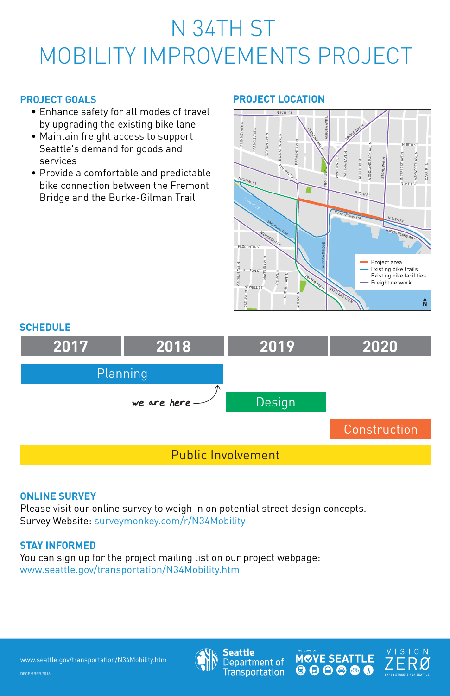# N 34TH ST MOBILITY IMPROVEMENTS PROJECT

www.seattle.gov/transportation/N34Mobility.htm



**Seattle** Department of **Transportation** 



VISION **AFER STREETS FOR SEATTLE** 

#### **PROJECT GOALS**

- Enhance safety for all modes of travel by upgrading the existing bike lane
- Maintain freight access to support Seattle's demand for goods and services
- Provide a comfortable and predictable bike connection between the Fremont Bridge and the Burke-Gilman Trail



#### **PROJECT LOCATION**

## **2017** Planning Design Public Involvement **2018 2019 Construction 2020** we are here **SCHEDULE**

#### **ONLINE SURVEY**

Please visit our online survey to weigh in on potential street design concepts. Survey Website: surveymonkey.com/r/N34Mobility

### **STAY INFORMED**

### You can sign up for the project mailing list on our project webpage: www.seattle.gov/transportation/N34Mobility.htm